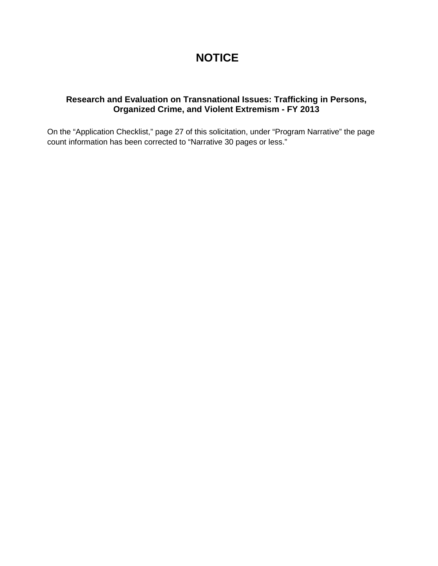# **NOTICE**

## **Research and Evaluation on Transnational Issues: Trafficking in Persons, Organized Crime, and Violent Extremism - FY 2013**

On the "Application Checklist," page 27 of this solicitation, under "Program Narrative" the page count information has been corrected to "Narrative 30 pages or less."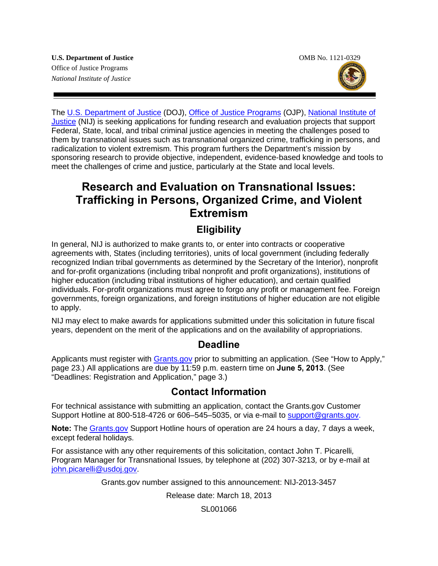The [U.S. Department of Justice](http://www.usdoj.gov/) (DOJ), [Office of Justice Programs](http://www.ojp.usdoj.gov/) (OJP), [National Institute of](http://www.nij.gov/)  [Justice](http://www.nij.gov/) (NIJ) is seeking applications for funding research and evaluation projects that support Federal, State, local, and tribal criminal justice agencies in meeting the challenges posed to them by transnational issues such as transnational organized crime, trafficking in persons, and radicalization to violent extremism. This program furthers the Department's mission by sponsoring research to provide objective, independent, evidence-based knowledge and tools to meet the challenges of crime and justice, particularly at the State and local levels.

# **Research and Evaluation on Transnational Issues: Trafficking in Persons, Organized Crime, and Violent Extremism**

# **Eligibility**

In general, NIJ is authorized to make grants to, or enter into contracts or cooperative agreements with, States (including territories), units of local government (including federally recognized Indian tribal governments as determined by the Secretary of the Interior), nonprofit and for-profit organizations (including tribal nonprofit and profit organizations), institutions of higher education (including tribal institutions of higher education), and certain qualified individuals. For-profit organizations must agree to forgo any profit or management fee. Foreign governments, foreign organizations, and foreign institutions of higher education are not eligible to apply.

NIJ may elect to make awards for applications submitted under this solicitation in future fiscal years, dependent on the merit of the applications and on the availability of appropriations.

# **Deadline**

Applicants must register with **Grants.gov** prior to submitting an application. (See "How to Apply," page 23.) All applications are due by 11:59 p.m. eastern time on **June 5, 2013**. (See "Deadlines: Registration and Application," page 3.)

# **Contact Information**

For technical assistance with submitting an application, contact the Grants.gov Customer Support Hotline at 800-518-4726 or 606–545–5035, or via e-mail to [support@grants.gov.](mailto:support@grants.gov)

**Note:** The [Grants.gov](http://www.grants.gov/applicants/apply_for_grants.jsp) Support Hotline hours of operation are 24 hours a day, 7 days a week, except federal holidays*.*

For assistance with any other requirements of this solicitation, contact John T. Picarelli*,*  Program Manager for Transnational Issues*,* by telephone at (202) 307-3213*,* or by e-mail at [john.picarelli@usdoj.gov.](mailto:john.picarelli@usdoj.gov)

Grants.gov number assigned to this announcement: NIJ-2013-3457

Release date: March 18, 2013

SL001066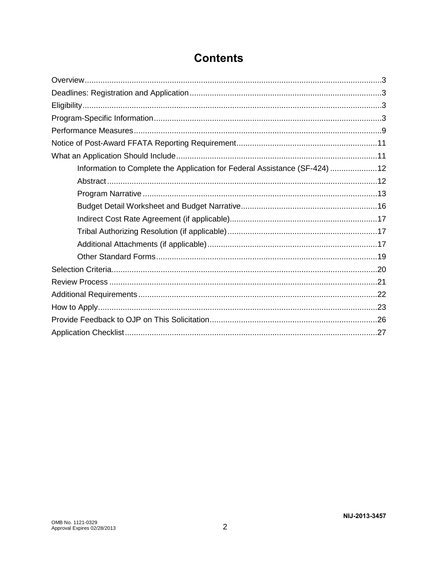| Information to Complete the Application for Federal Assistance (SF-424) 12 |  |
|----------------------------------------------------------------------------|--|
|                                                                            |  |
|                                                                            |  |
|                                                                            |  |
|                                                                            |  |
|                                                                            |  |
|                                                                            |  |
|                                                                            |  |
|                                                                            |  |
|                                                                            |  |
|                                                                            |  |
|                                                                            |  |
|                                                                            |  |
|                                                                            |  |

# **Contents**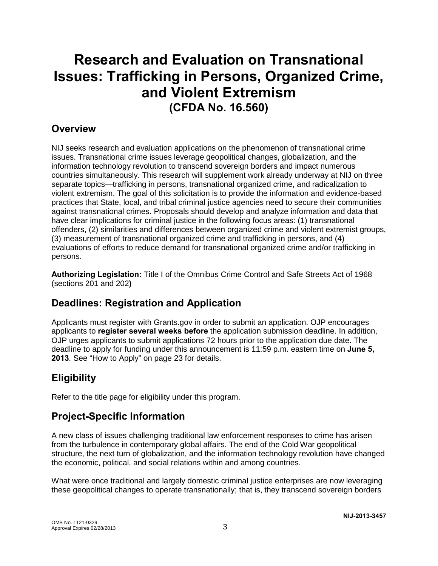# **Research and Evaluation on Transnational Issues: Trafficking in Persons, Organized Crime, and Violent Extremism (CFDA No. 16.560)**

# **Overview**

NIJ seeks research and evaluation applications on the phenomenon of transnational crime issues. Transnational crime issues leverage geopolitical changes, globalization, and the information technology revolution to transcend sovereign borders and impact numerous countries simultaneously. This research will supplement work already underway at NIJ on three separate topics—trafficking in persons, transnational organized crime, and radicalization to violent extremism. The goal of this solicitation is to provide the information and evidence-based practices that State, local, and tribal criminal justice agencies need to secure their communities against transnational crimes. Proposals should develop and analyze information and data that have clear implications for criminal justice in the following focus areas: (1) transnational offenders, (2) similarities and differences between organized crime and violent extremist groups, (3) measurement of transnational organized crime and trafficking in persons, and (4) evaluations of efforts to reduce demand for transnational organized crime and/or trafficking in persons.

**Authorizing Legislation:** Title I of the Omnibus Crime Control and Safe Streets Act of 1968 (sections 201 and 202**)**

# **Deadlines: Registration and Application**

Applicants must register with Grants.gov in order to submit an application. OJP encourages applicants to **register several weeks before** the application submission deadline. In addition, OJP urges applicants to submit applications 72 hours prior to the application due date. The deadline to apply for funding under this announcement is 11:59 p.m. eastern time on **June 5, 2013***.* See "How to Apply" on page 23 for details.

# **Eligibility**

Refer to the title page for eligibility under this program.

# **Project-Specific Information**

A new class of issues challenging traditional law enforcement responses to crime has arisen from the turbulence in contemporary global affairs. The end of the Cold War geopolitical structure, the next turn of globalization, and the information technology revolution have changed the economic, political, and social relations within and among countries.

What were once traditional and largely domestic criminal justice enterprises are now leveraging these geopolitical changes to operate transnationally; that is, they transcend sovereign borders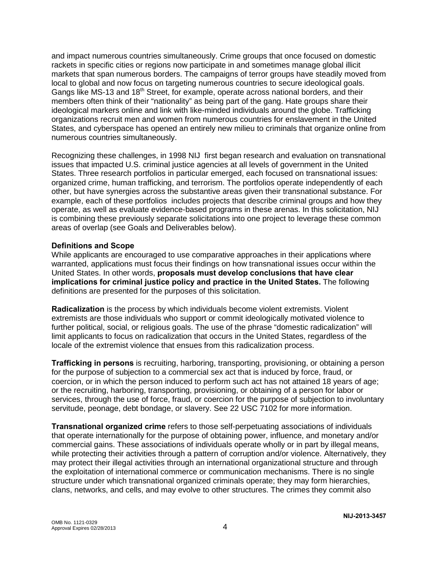and impact numerous countries simultaneously. Crime groups that once focused on domestic rackets in specific cities or regions now participate in and sometimes manage global illicit markets that span numerous borders. The campaigns of terror groups have steadily moved from local to global and now focus on targeting numerous countries to secure ideological goals. Gangs like MS-13 and 18<sup>th</sup> Street, for example, operate across national borders, and their members often think of their "nationality" as being part of the gang. Hate groups share their ideological markers online and link with like-minded individuals around the globe. Trafficking organizations recruit men and women from numerous countries for enslavement in the United States, and cyberspace has opened an entirely new milieu to criminals that organize online from numerous countries simultaneously.

Recognizing these challenges, in 1998 NIJ first began research and evaluation on transnational issues that impacted U.S. criminal justice agencies at all levels of government in the United States. Three research portfolios in particular emerged, each focused on transnational issues: organized crime, human trafficking, and terrorism. The portfolios operate independently of each other, but have synergies across the substantive areas given their transnational substance. For example, each of these portfolios includes projects that describe criminal groups and how they operate, as well as evaluate evidence-based programs in these arenas. In this solicitation, NIJ is combining these previously separate solicitations into one project to leverage these common areas of overlap (see Goals and Deliverables below).

#### **Definitions and Scope**

While applicants are encouraged to use comparative approaches in their applications where warranted, applications must focus their findings on how transnational issues occur within the United States. In other words, **proposals must develop conclusions that have clear implications for criminal justice policy and practice in the United States.** The following definitions are presented for the purposes of this solicitation.

**Radicalization** is the process by which individuals become violent extremists. Violent extremists are those individuals who support or commit ideologically motivated violence to further political, social, or religious goals. The use of the phrase "domestic radicalization" will limit applicants to focus on radicalization that occurs in the United States, regardless of the locale of the extremist violence that ensues from this radicalization process.

**Trafficking in persons** is recruiting, harboring, transporting, provisioning, or obtaining a person for the purpose of subjection to a commercial sex act that is induced by force, fraud, or coercion, or in which the person induced to perform such act has not attained 18 years of age; or the recruiting, harboring, transporting, provisioning, or obtaining of a person for labor or services, through the use of force, fraud, or coercion for the purpose of subjection to involuntary servitude, peonage, debt bondage, or slavery. See 22 USC 7102 for more information.

**Transnational organized crime** refers to those self-perpetuating associations of individuals that operate internationally for the purpose of obtaining power, influence, and monetary and/or commercial gains. These associations of individuals operate wholly or in part by illegal means, while protecting their activities through a pattern of corruption and/or violence. Alternatively, they may protect their illegal activities through an international organizational structure and through the exploitation of international commerce or communication mechanisms. There is no single structure under which transnational organized criminals operate; they may form hierarchies, clans, networks, and cells, and may evolve to other structures. The crimes they commit also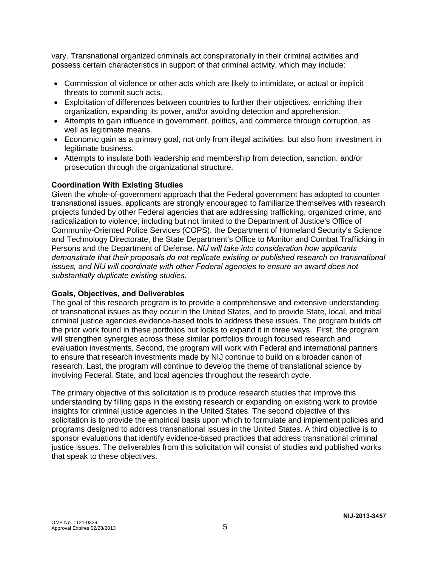vary. Transnational organized criminals act conspiratorially in their criminal activities and possess certain characteristics in support of that criminal activity, which may include:

- Commission of violence or other acts which are likely to intimidate, or actual or implicit threats to commit such acts.
- Exploitation of differences between countries to further their objectives, enriching their organization, expanding its power, and/or avoiding detection and apprehension.
- Attempts to gain influence in government, politics, and commerce through corruption, as well as legitimate means.
- Economic gain as a primary goal, not only from illegal activities, but also from investment in legitimate business.
- Attempts to insulate both leadership and membership from detection, sanction, and/or prosecution through the organizational structure.

#### **Coordination With Existing Studies**

Given the whole-of-government approach that the Federal government has adopted to counter transnational issues, applicants are strongly encouraged to familiarize themselves with research projects funded by other Federal agencies that are addressing trafficking, organized crime, and radicalization to violence, including but not limited to the Department of Justice's Office of Community-Oriented Police Services (COPS), the Department of Homeland Security's Science and Technology Directorate, the State Department's Office to Monitor and Combat Trafficking in Persons and the Department of Defense. *NIJ will take into consideration how applicants demonstrate that their proposals do not replicate existing or published research on transnational issues, and NIJ will coordinate with other Federal agencies to ensure an award does not substantially duplicate existing studies.* 

#### **Goals, Objectives, and Deliverables**

The goal of this research program is to provide a comprehensive and extensive understanding of transnational issues as they occur in the United States, and to provide State, local, and tribal criminal justice agencies evidence-based tools to address these issues. The program builds off the prior work found in these portfolios but looks to expand it in three ways. First, the program will strengthen synergies across these similar portfolios through focused research and evaluation investments. Second, the program will work with Federal and international partners to ensure that research investments made by NIJ continue to build on a broader canon of research. Last, the program will continue to develop the theme of translational science by involving Federal, State, and local agencies throughout the research cycle.

The primary objective of this solicitation is to produce research studies that improve this understanding by filling gaps in the existing research or expanding on existing work to provide insights for criminal justice agencies in the United States. The second objective of this solicitation is to provide the empirical basis upon which to formulate and implement policies and programs designed to address transnational issues in the United States. A third objective is to sponsor evaluations that identify evidence-based practices that address transnational criminal justice issues. The deliverables from this solicitation will consist of studies and published works that speak to these objectives.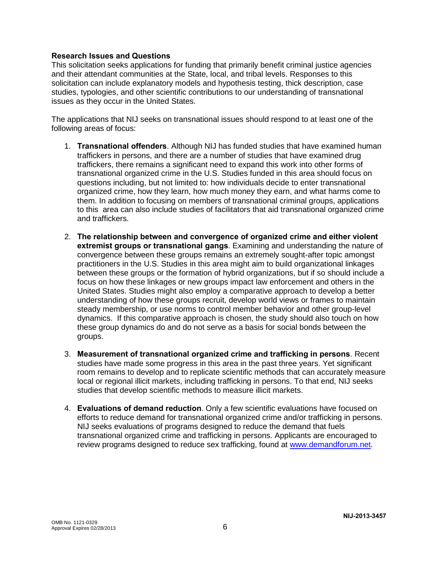#### **Research Issues and Questions**

This solicitation seeks applications for funding that primarily benefit criminal justice agencies and their attendant communities at the State, local, and tribal levels. Responses to this solicitation can include explanatory models and hypothesis testing, thick description, case studies, typologies, and other scientific contributions to our understanding of transnational issues as they occur in the United States.

The applications that NIJ seeks on transnational issues should respond to at least one of the following areas of focus:

- 1. **Transnational offenders**. Although NIJ has funded studies that have examined human traffickers in persons, and there are a number of studies that have examined drug traffickers, there remains a significant need to expand this work into other forms of transnational organized crime in the U.S. Studies funded in this area should focus on questions including, but not limited to: how individuals decide to enter transnational organized crime, how they learn, how much money they earn, and what harms come to them. In addition to focusing on members of transnational criminal groups, applications to this area can also include studies of facilitators that aid transnational organized crime and traffickers.
- 2. **The relationship between and convergence of organized crime and either violent extremist groups or transnational gangs**. Examining and understanding the nature of convergence between these groups remains an extremely sought-after topic amongst practitioners in the U.S. Studies in this area might aim to build organizational linkages between these groups or the formation of hybrid organizations, but if so should include a focus on how these linkages or new groups impact law enforcement and others in the United States. Studies might also employ a comparative approach to develop a better understanding of how these groups recruit, develop world views or frames to maintain steady membership, or use norms to control member behavior and other group-level dynamics. If this comparative approach is chosen, the study should also touch on how these group dynamics do and do not serve as a basis for social bonds between the groups.
- 3. **Measurement of transnational organized crime and trafficking in persons**. Recent studies have made some progress in this area in the past three years. Yet significant room remains to develop and to replicate scientific methods that can accurately measure local or regional illicit markets, including trafficking in persons. To that end, NIJ seeks studies that develop scientific methods to measure illicit markets.
- 4. **Evaluations of demand reduction**. Only a few scientific evaluations have focused on efforts to reduce demand for transnational organized crime and/or trafficking in persons. NIJ seeks evaluations of programs designed to reduce the demand that fuels transnational organized crime and trafficking in persons. Applicants are encouraged to review programs designed to reduce sex trafficking, found at [www.demandforum.net.](http://www.demandforum.net/)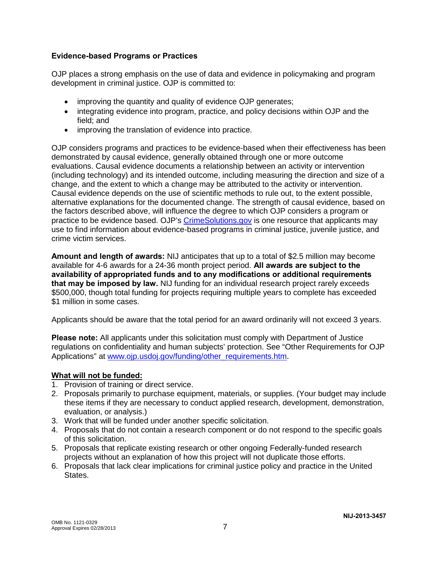### **Evidence-based Programs or Practices**

OJP places a strong emphasis on the use of data and evidence in policymaking and program development in criminal justice. OJP is committed to:

- improving the quantity and quality of evidence OJP generates;
- integrating evidence into program, practice, and policy decisions within OJP and the field; and
- improving the translation of evidence into practice.

OJP considers programs and practices to be evidence-based when their effectiveness has been demonstrated by causal evidence, generally obtained through one or more outcome evaluations. Causal evidence documents a relationship between an activity or intervention (including technology) and its intended outcome, including measuring the direction and size of a change, and the extent to which a change may be attributed to the activity or intervention. Causal evidence depends on the use of scientific methods to rule out, to the extent possible, alternative explanations for the documented change. The strength of causal evidence, based on the factors described above, will influence the degree to which OJP considers a program or practice to be evidence based. OJP's [CrimeSolutions.gov](http://www.crimesolutions.gov/) is one resource that applicants may use to find information about evidence-based programs in criminal justice, juvenile justice, and crime victim services.

**Amount and length of awards:** NIJ anticipates that up to a total of \$2.5 million may become available for 4-6 awards for a 24-36 month project period. **All awards are subject to the availability of appropriated funds and to any modifications or additional requirements that may be imposed by law.** NIJ funding for an individual research project rarely exceeds \$500,000, though total funding for projects requiring multiple years to complete has exceeded \$1 million in some cases.

Applicants should be aware that the total period for an award ordinarily will not exceed 3 years.

**Please note:** All applicants under this solicitation must comply with Department of Justice regulations on confidentiality and human subjects' protection. See "Other Requirements for OJP Applications" at www.oip.usdoi.gov/funding/other\_requirements.htm.

### **What will not be funded:**

- 1. Provision of training or direct service.
- 2. Proposals primarily to purchase equipment, materials, or supplies. (Your budget may include these items if they are necessary to conduct applied research, development, demonstration, evaluation, or analysis.)
- 3. Work that will be funded under another specific solicitation.
- 4. Proposals that do not contain a research component or do not respond to the specific goals of this solicitation.
- 5. Proposals that replicate existing research or other ongoing Federally-funded research projects without an explanation of how this project will not duplicate those efforts.
- 6. Proposals that lack clear implications for criminal justice policy and practice in the United States.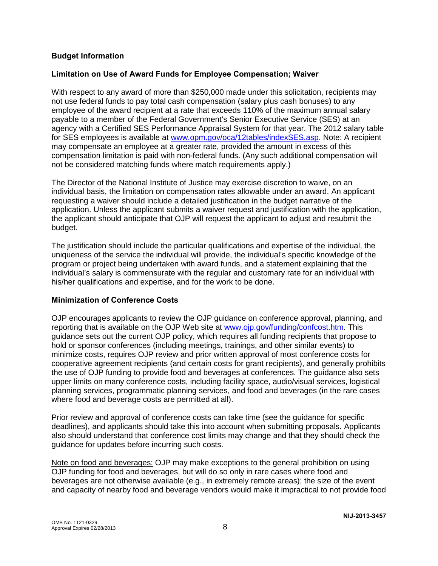### **Budget Information**

#### **Limitation on Use of Award Funds for Employee Compensation; Waiver**

With respect to any award of more than \$250,000 made under this solicitation, recipients may not use federal funds to pay total cash compensation (salary plus cash bonuses) to any employee of the award recipient at a rate that exceeds 110% of the maximum annual salary payable to a member of the Federal Government's Senior Executive Service (SES) at an agency with a Certified SES Performance Appraisal System for that year. The 2012 salary table for SES employees is available at [www.opm.gov/oca/12tables/indexSES.asp.](http://www.opm.gov/oca/12tables/indexSES.asp) Note: A recipient may compensate an employee at a greater rate, provided the amount in excess of this compensation limitation is paid with non-federal funds. (Any such additional compensation will not be considered matching funds where match requirements apply.)

The Director of the National Institute of Justice may exercise discretion to waive, on an individual basis, the limitation on compensation rates allowable under an award. An applicant requesting a waiver should include a detailed justification in the budget narrative of the application. Unless the applicant submits a waiver request and justification with the application, the applicant should anticipate that OJP will request the applicant to adjust and resubmit the budget.

The justification should include the particular qualifications and expertise of the individual, the uniqueness of the service the individual will provide, the individual's specific knowledge of the program or project being undertaken with award funds, and a statement explaining that the individual's salary is commensurate with the regular and customary rate for an individual with his/her qualifications and expertise, and for the work to be done.

#### **Minimization of Conference Costs**

OJP encourages applicants to review the OJP guidance on conference approval, planning, and reporting that is available on the OJP Web site at [www.ojp.gov/funding/confcost.htm.](http://www.ojp.gov/funding/confcost.htm) This guidance sets out the current OJP policy, which requires all funding recipients that propose to hold or sponsor conferences (including meetings, trainings, and other similar events) to minimize costs, requires OJP review and prior written approval of most conference costs for cooperative agreement recipients (and certain costs for grant recipients), and generally prohibits the use of OJP funding to provide food and beverages at conferences. The guidance also sets upper limits on many conference costs, including facility space, audio/visual services, logistical planning services, programmatic planning services, and food and beverages (in the rare cases where food and beverage costs are permitted at all).

Prior review and approval of conference costs can take time (see the guidance for specific deadlines), and applicants should take this into account when submitting proposals. Applicants also should understand that conference cost limits may change and that they should check the guidance for updates before incurring such costs.

Note on food and beverages: OJP may make exceptions to the general prohibition on using OJP funding for food and beverages, but will do so only in rare cases where food and beverages are not otherwise available (e.g., in extremely remote areas); the size of the event and capacity of nearby food and beverage vendors would make it impractical to not provide food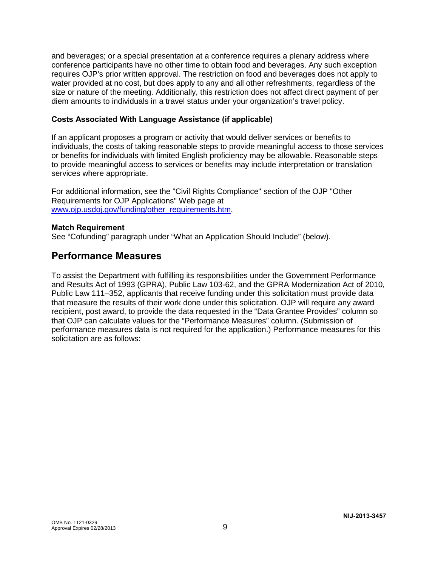and beverages; or a special presentation at a conference requires a plenary address where conference participants have no other time to obtain food and beverages. Any such exception requires OJP's prior written approval. The restriction on food and beverages does not apply to water provided at no cost, but does apply to any and all other refreshments, regardless of the size or nature of the meeting. Additionally, this restriction does not affect direct payment of per diem amounts to individuals in a travel status under your organization's travel policy.

#### **Costs Associated With Language Assistance (if applicable)**

If an applicant proposes a program or activity that would deliver services or benefits to individuals, the costs of taking reasonable steps to provide meaningful access to those services or benefits for individuals with limited English proficiency may be allowable. Reasonable steps to provide meaningful access to services or benefits may include interpretation or translation services where appropriate.

For additional information, see the "Civil Rights Compliance" section of the OJP "Other Requirements for OJP Applications" Web page at www.oip.usdoi.gov/funding/other\_requirements.htm.

#### **Match Requirement**

See "Cofunding" paragraph under "What an Application Should Include" (below).

## **Performance Measures**

To assist the Department with fulfilling its responsibilities under the Government Performance and Results Act of 1993 (GPRA), Public Law 103-62, and the GPRA Modernization Act of 2010, Public Law 111–352, applicants that receive funding under this solicitation must provide data that measure the results of their work done under this solicitation. OJP will require any award recipient, post award, to provide the data requested in the "Data Grantee Provides" column so that OJP can calculate values for the "Performance Measures" column. (Submission of performance measures data is not required for the application.) Performance measures for this solicitation are as follows: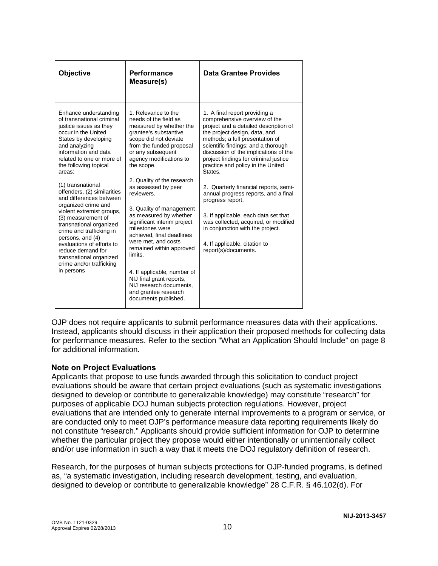| Objective                                                                                                                                                                                                                                                                                                                                                                                                                                                                                                                                                                                       | Performance<br>Measure(s)                                                                                                                                                                                                                                                                                                                                                                                                                                                                                                                                                                                                       | Data Grantee Provides                                                                                                                                                                                                                                                                                                                                                                                                                                                                                                                                                                                                                  |
|-------------------------------------------------------------------------------------------------------------------------------------------------------------------------------------------------------------------------------------------------------------------------------------------------------------------------------------------------------------------------------------------------------------------------------------------------------------------------------------------------------------------------------------------------------------------------------------------------|---------------------------------------------------------------------------------------------------------------------------------------------------------------------------------------------------------------------------------------------------------------------------------------------------------------------------------------------------------------------------------------------------------------------------------------------------------------------------------------------------------------------------------------------------------------------------------------------------------------------------------|----------------------------------------------------------------------------------------------------------------------------------------------------------------------------------------------------------------------------------------------------------------------------------------------------------------------------------------------------------------------------------------------------------------------------------------------------------------------------------------------------------------------------------------------------------------------------------------------------------------------------------------|
| Enhance understanding<br>of transnational criminal<br>justice issues as they<br>occur in the United<br>States by developing<br>and analyzing<br>information and data<br>related to one or more of<br>the following topical<br>areas:<br>(1) transnational<br>offenders, (2) similarities<br>and differences between<br>organized crime and<br>violent extremist groups,<br>(3) measurement of<br>transnational organized<br>crime and trafficking in<br>persons, and (4)<br>evaluations of efforts to<br>reduce demand for<br>transnational organized<br>crime and/or trafficking<br>in persons | 1. Relevance to the<br>needs of the field as<br>measured by whether the<br>grantee's substantive<br>scope did not deviate<br>from the funded proposal<br>or any subsequent<br>agency modifications to<br>the scope.<br>2. Quality of the research<br>as assessed by peer<br>reviewers.<br>3. Quality of management<br>as measured by whether<br>significant interim project<br>milestones were<br>achieved, final deadlines<br>were met, and costs<br>remained within approved<br>limits.<br>4. If applicable, number of<br>NIJ final grant reports,<br>NIJ research documents,<br>and grantee research<br>documents published. | 1. A final report providing a<br>comprehensive overview of the<br>project and a detailed description of<br>the project design, data, and<br>methods; a full presentation of<br>scientific findings; and a thorough<br>discussion of the implications of the<br>project findings for criminal justice<br>practice and policy in the United<br>States.<br>2. Quarterly financial reports, semi-<br>annual progress reports, and a final<br>progress report.<br>3. If applicable, each data set that<br>was collected, acquired, or modified<br>in conjunction with the project.<br>4. If applicable, citation to<br>report(s)/documents. |

OJP does not require applicants to submit performance measures data with their applications. Instead, applicants should discuss in their application their proposed methods for collecting data for performance measures. Refer to the section "What an Application Should Include" on page 8 for additional information.

### **Note on Project Evaluations**

Applicants that propose to use funds awarded through this solicitation to conduct project evaluations should be aware that certain project evaluations (such as systematic investigations designed to develop or contribute to generalizable knowledge) may constitute "research" for purposes of applicable DOJ human subjects protection regulations. However, project evaluations that are intended only to generate internal improvements to a program or service, or are conducted only to meet OJP's performance measure data reporting requirements likely do not constitute "research." Applicants should provide sufficient information for OJP to determine whether the particular project they propose would either intentionally or unintentionally collect and/or use information in such a way that it meets the DOJ regulatory definition of research.

Research, for the purposes of human subjects protections for OJP-funded programs, is defined as, "a systematic investigation, including research development, testing, and evaluation, designed to develop or contribute to generalizable knowledge" 28 C.F.R. § 46.102(d). For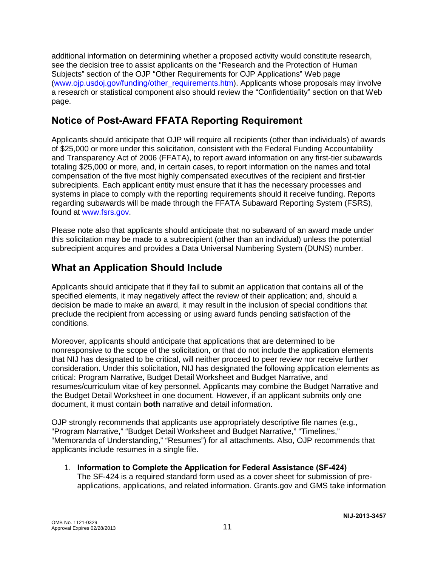additional information on determining whether a proposed activity would constitute research, see the decision tree to assist applicants on the "Research and the Protection of Human Subjects" section of the OJP "Other Requirements for OJP Applications" Web page [\(www.ojp.usdoj.gov/funding/other\\_requirements.htm\)](http://www.ojp.usdoj.gov/funding/other_requirements.htm). Applicants whose proposals may involve a research or statistical component also should review the "Confidentiality" section on that Web page.

# **Notice of Post-Award FFATA Reporting Requirement**

Applicants should anticipate that OJP will require all recipients (other than individuals) of awards of \$25,000 or more under this solicitation, consistent with the Federal Funding Accountability and Transparency Act of 2006 (FFATA), to report award information on any first-tier subawards totaling \$25,000 or more, and, in certain cases, to report information on the names and total compensation of the five most highly compensated executives of the recipient and first-tier subrecipients. Each applicant entity must ensure that it has the necessary processes and systems in place to comply with the reporting requirements should it receive funding. Reports regarding subawards will be made through the FFATA Subaward Reporting System (FSRS), found at [www.fsrs.gov.](https://www.fsrs.gov/)

Please note also that applicants should anticipate that no subaward of an award made under this solicitation may be made to a subrecipient (other than an individual) unless the potential subrecipient acquires and provides a Data Universal Numbering System (DUNS) number.

# **What an Application Should Include**

Applicants should anticipate that if they fail to submit an application that contains all of the specified elements, it may negatively affect the review of their application; and, should a decision be made to make an award, it may result in the inclusion of special conditions that preclude the recipient from accessing or using award funds pending satisfaction of the conditions.

Moreover, applicants should anticipate that applications that are determined to be nonresponsive to the scope of the solicitation, or that do not include the application elements that NIJ has designated to be critical, will neither proceed to peer review nor receive further consideration. Under this solicitation, NIJ has designated the following application elements as critical: Program Narrative, Budget Detail Worksheet and Budget Narrative, and resumes/curriculum vitae of key personnel*.* Applicants may combine the Budget Narrative and the Budget Detail Worksheet in one document. However, if an applicant submits only one document, it must contain **both** narrative and detail information.

OJP strongly recommends that applicants use appropriately descriptive file names (e.g*.*, "Program Narrative," "Budget Detail Worksheet and Budget Narrative," "Timelines," "Memoranda of Understanding," "Resumes") for all attachments. Also, OJP recommends that applicants include resumes in a single file.

1. **Information to Complete the Application for Federal Assistance (SF-424)** The SF-424 is a required standard form used as a cover sheet for submission of preapplications, applications, and related information. Grants.gov and GMS take information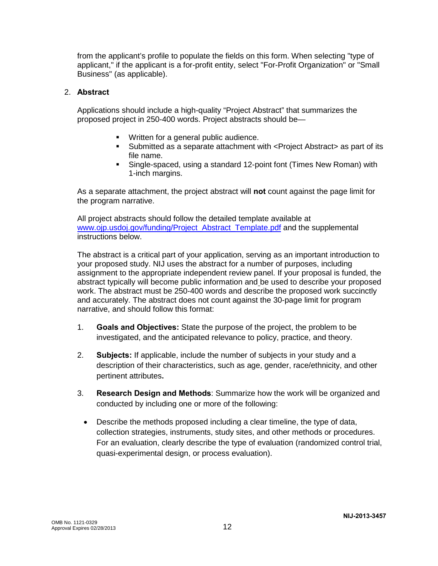from the applicant's profile to populate the fields on this form. When selecting "type of applicant," if the applicant is a for-profit entity, select "For-Profit Organization" or "Small Business" (as applicable).

### 2. **Abstract**

Applications should include a high-quality "Project Abstract" that summarizes the proposed project in 250-400 words. Project abstracts should be—

- **Written for a general public audience.**
- Submitted as a separate attachment with <Project Abstract> as part of its file name.
- Single-spaced, using a standard 12-point font (Times New Roman) with 1-inch margins.

As a separate attachment, the project abstract will **not** count against the page limit for the program narrative.

All project abstracts should follow the detailed template available at www.oip.usdoj.gov/funding/Project\_Abstract\_Template.pdf and the supplemental instructions below.

The abstract is a critical part of your application, serving as an important introduction to your proposed study. NIJ uses the abstract for a number of purposes, including assignment to the appropriate independent review panel. If your proposal is funded, the abstract typically will become public information and be used to describe your proposed work. The abstract must be 250-400 words and describe the proposed work succinctly and accurately. The abstract does not count against the 30-page limit for program narrative, and should follow this format:

- 1. **Goals and Objectives:** State the purpose of the project, the problem to be investigated, and the anticipated relevance to policy, practice, and theory.
- 2. **Subjects:** If applicable, include the number of subjects in your study and a description of their characteristics, such as age, gender, race/ethnicity, and other pertinent attributes**.**
- 3. **Research Design and Methods**: Summarize how the work will be organized and conducted by including one or more of the following:
	- Describe the methods proposed including a clear timeline, the type of data, collection strategies, instruments, study sites, and other methods or procedures. For an evaluation, clearly describe the type of evaluation (randomized control trial, quasi-experimental design, or process evaluation).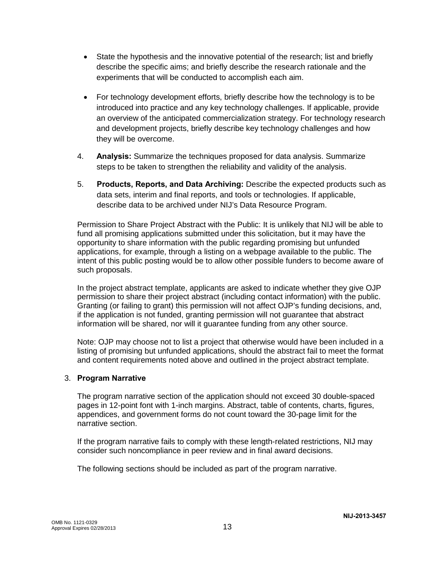- State the hypothesis and the innovative potential of the research; list and briefly describe the specific aims; and briefly describe the research rationale and the experiments that will be conducted to accomplish each aim.
- For technology development efforts, briefly describe how the technology is to be introduced into practice and any key technology challenges. If applicable, provide an overview of the anticipated commercialization strategy. For technology research and development projects, briefly describe key technology challenges and how they will be overcome.
- 4. **Analysis:** Summarize the techniques proposed for data analysis. Summarize steps to be taken to strengthen the reliability and validity of the analysis.
- 5. **Products, Reports, and Data Archiving:** Describe the expected products such as data sets, interim and final reports, and tools or technologies. If applicable, describe data to be archived under NIJ's Data Resource Program.

Permission to Share Project Abstract with the Public: It is unlikely that NIJ will be able to fund all promising applications submitted under this solicitation, but it may have the opportunity to share information with the public regarding promising but unfunded applications, for example, through a listing on a webpage available to the public. The intent of this public posting would be to allow other possible funders to become aware of such proposals.

In the project abstract template, applicants are asked to indicate whether they give OJP permission to share their project abstract (including contact information) with the public. Granting (or failing to grant) this permission will not affect OJP's funding decisions, and, if the application is not funded, granting permission will not guarantee that abstract information will be shared, nor will it guarantee funding from any other source.

Note: OJP may choose not to list a project that otherwise would have been included in a listing of promising but unfunded applications, should the abstract fail to meet the format and content requirements noted above and outlined in the project abstract template.

### 3. **Program Narrative**

The program narrative section of the application should not exceed 30 double-spaced pages in 12-point font with 1-inch margins. Abstract, table of contents, charts, figures, appendices, and government forms do not count toward the 30-page limit for the narrative section.

If the program narrative fails to comply with these length-related restrictions, NIJ may consider such noncompliance in peer review and in final award decisions.

The following sections should be included as part of the program narrative.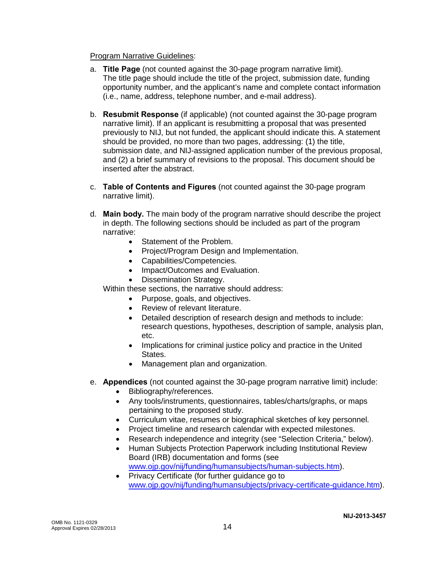#### **Program Narrative Guidelines:**

- a. **Title Page** (not counted against the 30-page program narrative limit). The title page should include the title of the project, submission date, funding opportunity number, and the applicant's name and complete contact information (i.e., name, address, telephone number, and e-mail address).
- b. **Resubmit Response** (if applicable) (not counted against the 30-page program narrative limit). If an applicant is resubmitting a proposal that was presented previously to NIJ, but not funded, the applicant should indicate this. A statement should be provided, no more than two pages, addressing: (1) the title, submission date, and NIJ-assigned application number of the previous proposal, and (2) a brief summary of revisions to the proposal. This document should be inserted after the abstract.
- c. **Table of Contents and Figures** (not counted against the 30-page program narrative limit).
- d. **Main body.** The main body of the program narrative should describe the project in depth. The following sections should be included as part of the program narrative:
	- Statement of the Problem.
	- Project/Program Design and Implementation.
	- Capabilities/Competencies.
	- Impact/Outcomes and Evaluation.
	- Dissemination Strategy.

Within these sections, the narrative should address:

- Purpose, goals, and objectives.
- Review of relevant literature.
- Detailed description of research design and methods to include: research questions, hypotheses, description of sample, analysis plan, etc.
- Implications for criminal justice policy and practice in the United States.
- Management plan and organization.
- e. **Appendices** (not counted against the 30-page program narrative limit) include:
	- Bibliography/references.
	- Any tools/instruments, questionnaires, tables/charts/graphs, or maps pertaining to the proposed study.
	- Curriculum vitae, resumes or biographical sketches of key personnel.
	- Project timeline and research calendar with expected milestones.
	- Research independence and integrity (see "Selection Criteria," below).
	- Human Subjects Protection Paperwork including Institutional Review Board (IRB) documentation and forms (see [www.ojp.gov/nij/funding/humansubjects/human-subjects.htm\)](http://www.ojp.gov/nij/funding/humansubjects/human-subjects.htm).
	- Privacy Certificate (for further guidance go to [www.ojp.gov/nij/funding/humansubjects/privacy-certificate-guidance.htm\)](http://www.ojp.gov/nij/funding/humansubjects/privacy-certificate-guidance.htm).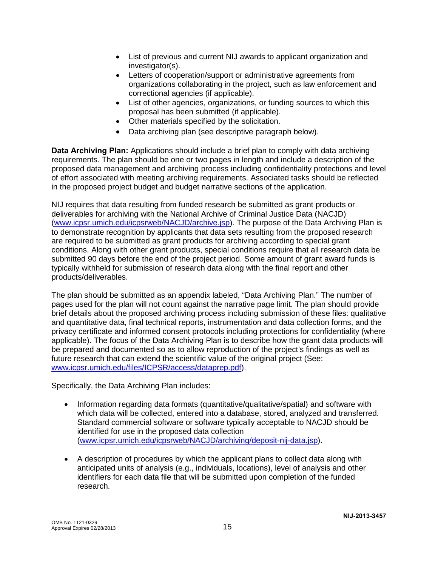- List of previous and current NIJ awards to applicant organization and investigator(s).
- Letters of cooperation/support or administrative agreements from organizations collaborating in the project, such as law enforcement and correctional agencies (if applicable).
- List of other agencies, organizations, or funding sources to which this proposal has been submitted (if applicable).
- Other materials specified by the solicitation.
- Data archiving plan (see descriptive paragraph below).

**Data Archiving Plan:** Applications should include a brief plan to comply with data archiving requirements. The plan should be one or two pages in length and include a description of the proposed data management and archiving process including confidentiality protections and level of effort associated with meeting archiving requirements. Associated tasks should be reflected in the proposed project budget and budget narrative sections of the application.

NIJ requires that data resulting from funded research be submitted as grant products or deliverables for archiving with the National Archive of Criminal Justice Data (NACJD) [\(www.icpsr.umich.edu/icpsrweb/NACJD/archive.jsp\)](http://www.icpsr.umich.edu/icpsrweb/NACJD/archive.jsp). The purpose of the Data Archiving Plan is to demonstrate recognition by applicants that data sets resulting from the proposed research are required to be submitted as grant products for archiving according to special grant conditions. Along with other grant products, special conditions require that all research data be submitted 90 days before the end of the project period. Some amount of grant award funds is typically withheld for submission of research data along with the final report and other products/deliverables.

The plan should be submitted as an appendix labeled, "Data Archiving Plan." The number of pages used for the plan will not count against the narrative page limit. The plan should provide brief details about the proposed archiving process including submission of these files: qualitative and quantitative data, final technical reports, instrumentation and data collection forms, and the privacy certificate and informed consent protocols including protections for confidentiality (where applicable). The focus of the Data Archiving Plan is to describe how the grant data products will be prepared and documented so as to allow reproduction of the project's findings as well as future research that can extend the scientific value of the original project (See: [www.icpsr.umich.edu/files/ICPSR/access/dataprep.pdf\)](http://www.icpsr.umich.edu/files/ICPSR/access/dataprep.pdf).

Specifically, the Data Archiving Plan includes:

- Information regarding data formats (quantitative/qualitative/spatial) and software with which data will be collected, entered into a database, stored, analyzed and transferred. Standard commercial software or software typically acceptable to NACJD should be identified for use in the proposed data collection [\(www.icpsr.umich.edu/icpsrweb/NACJD/archiving/deposit-nij-data.jsp\)](http://www.icpsr.umich.edu/icpsrweb/NACJD/archiving/deposit-nij-data.jsp).
- A description of procedures by which the applicant plans to collect data along with anticipated units of analysis (e.g., individuals, locations), level of analysis and other identifiers for each data file that will be submitted upon completion of the funded research.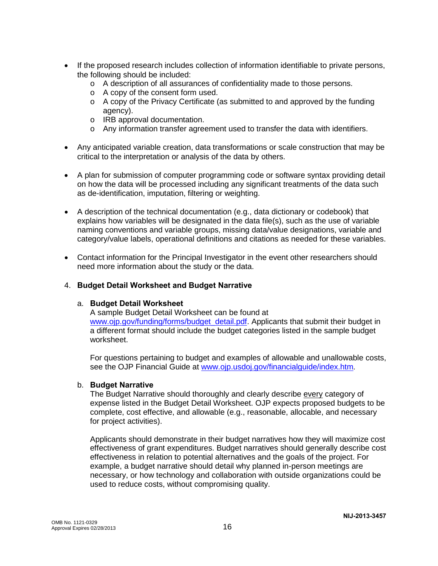- If the proposed research includes collection of information identifiable to private persons, the following should be included:
	- o A description of all assurances of confidentiality made to those persons.
	- o A copy of the consent form used.
	- $\circ$  A copy of the Privacy Certificate (as submitted to and approved by the funding agency).
	- o IRB approval documentation.
	- o Any information transfer agreement used to transfer the data with identifiers.
- Any anticipated variable creation, data transformations or scale construction that may be critical to the interpretation or analysis of the data by others.
- A plan for submission of computer programming code or software syntax providing detail on how the data will be processed including any significant treatments of the data such as de-identification, imputation, filtering or weighting.
- A description of the technical documentation (e.g., data dictionary or codebook) that explains how variables will be designated in the data file(s), such as the use of variable naming conventions and variable groups, missing data/value designations, variable and category/value labels, operational definitions and citations as needed for these variables.
- Contact information for the Principal Investigator in the event other researchers should need more information about the study or the data.

### 4. **Budget Detail Worksheet and Budget Narrative**

#### a. **Budget Detail Worksheet**

A sample Budget Detail Worksheet can be found at [www.ojp.gov/funding/forms/budget\\_detail.pdf.](http://www.ojp.gov/funding/forms/budget_detail.pdf) Applicants that submit their budget in a different format should include the budget categories listed in the sample budget worksheet.

For questions pertaining to budget and examples of allowable and unallowable costs, see the OJP Financial Guide at [www.ojp.usdoj.gov/financialguide/index.htm](http://www.ojp.usdoj.gov/financialguide/index.htm)*.*

#### b. **Budget Narrative**

The Budget Narrative should thoroughly and clearly describe every category of expense listed in the Budget Detail Worksheet. OJP expects proposed budgets to be complete, cost effective, and allowable (e.g., reasonable, allocable, and necessary for project activities).

Applicants should demonstrate in their budget narratives how they will maximize cost effectiveness of grant expenditures. Budget narratives should generally describe cost effectiveness in relation to potential alternatives and the goals of the project. For example, a budget narrative should detail why planned in-person meetings are necessary, or how technology and collaboration with outside organizations could be used to reduce costs, without compromising quality.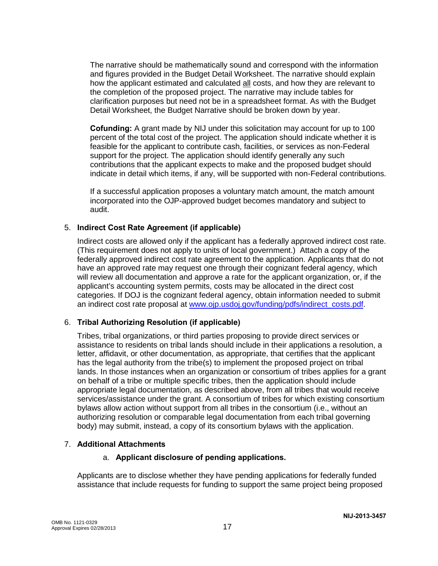The narrative should be mathematically sound and correspond with the information and figures provided in the Budget Detail Worksheet. The narrative should explain how the applicant estimated and calculated all costs, and how they are relevant to the completion of the proposed project. The narrative may include tables for clarification purposes but need not be in a spreadsheet format. As with the Budget Detail Worksheet, the Budget Narrative should be broken down by year.

**Cofunding:** A grant made by NIJ under this solicitation may account for up to 100 percent of the total cost of the project. The application should indicate whether it is feasible for the applicant to contribute cash, facilities, or services as non-Federal support for the project. The application should identify generally any such contributions that the applicant expects to make and the proposed budget should indicate in detail which items, if any, will be supported with non-Federal contributions.

If a successful application proposes a voluntary match amount, the match amount incorporated into the OJP-approved budget becomes mandatory and subject to audit.

#### 5. **Indirect Cost Rate Agreement (if applicable)**

Indirect costs are allowed only if the applicant has a federally approved indirect cost rate. (This requirement does not apply to units of local government.) Attach a copy of the federally approved indirect cost rate agreement to the application. Applicants that do not have an approved rate may request one through their cognizant federal agency, which will review all documentation and approve a rate for the applicant organization, or, if the applicant's accounting system permits, costs may be allocated in the direct cost categories. If DOJ is the cognizant federal agency, obtain information needed to submit an indirect cost rate proposal at [www.ojp.usdoj.gov/funding/pdfs/indirect\\_costs.pdf.](http://www.ojp.usdoj.gov/funding/pdfs/indirect_costs.pdf)

### 6. **Tribal Authorizing Resolution (if applicable)**

Tribes, tribal organizations, or third parties proposing to provide direct services or assistance to residents on tribal lands should include in their applications a resolution, a letter, affidavit, or other documentation, as appropriate, that certifies that the applicant has the legal authority from the tribe(s) to implement the proposed project on tribal lands. In those instances when an organization or consortium of tribes applies for a grant on behalf of a tribe or multiple specific tribes, then the application should include appropriate legal documentation, as described above, from all tribes that would receive services/assistance under the grant. A consortium of tribes for which existing consortium bylaws allow action without support from all tribes in the consortium (i.e., without an authorizing resolution or comparable legal documentation from each tribal governing body) may submit, instead, a copy of its consortium bylaws with the application.

### 7. **Additional Attachments**

#### a. **Applicant disclosure of pending applications.**

Applicants are to disclose whether they have pending applications for federally funded assistance that include requests for funding to support the same project being proposed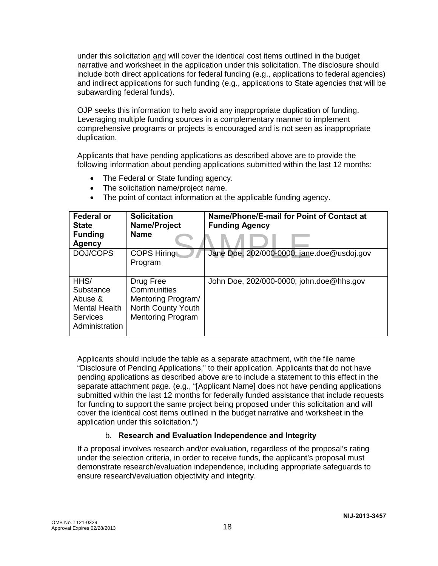under this solicitation and will cover the identical cost items outlined in the budget narrative and worksheet in the application under this solicitation. The disclosure should include both direct applications for federal funding (e.g., applications to federal agencies) and indirect applications for such funding (e.g., applications to State agencies that will be subawarding federal funds).

OJP seeks this information to help avoid any inappropriate duplication of funding. Leveraging multiple funding sources in a complementary manner to implement comprehensive programs or projects is encouraged and is not seen as inappropriate duplication.

Applicants that have pending applications as described above are to provide the following information about pending applications submitted within the last 12 months:

- The Federal or State funding agency.
- The solicitation name/project name.
- Jane Doe, 202/000-0000; jane **Federal or State Funding Agency**<br>DOJ/COPS **Solicitation Name/Project Name Name/Phone/E-mail for Point of Contact at Funding Agency** COPS Hiring Program Jane Doe, 202/000-0000; jane.doe@usdoj.gov HHS/ **Substance** Abuse & Mental Health Services Administration Drug Free **Communities** Mentoring Program/ North County Youth Mentoring Program John Doe, 202/000-0000; john.doe@hhs.gov
- The point of contact information at the applicable funding agency.

Applicants should include the table as a separate attachment, with the file name "Disclosure of Pending Applications," to their application. Applicants that do not have pending applications as described above are to include a statement to this effect in the separate attachment page. (e.g., "[Applicant Name] does not have pending applications submitted within the last 12 months for federally funded assistance that include requests for funding to support the same project being proposed under this solicitation and will cover the identical cost items outlined in the budget narrative and worksheet in the application under this solicitation.")

## b. **Research and Evaluation Independence and Integrity**

If a proposal involves research and/or evaluation, regardless of the proposal's rating under the selection criteria, in order to receive funds, the applicant's proposal must demonstrate research/evaluation independence, including appropriate safeguards to ensure research/evaluation objectivity and integrity.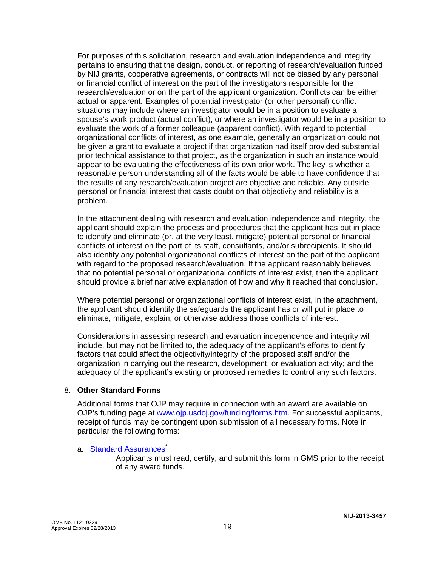For purposes of this solicitation, research and evaluation independence and integrity pertains to ensuring that the design, conduct, or reporting of research/evaluation funded by NIJ grants, cooperative agreements, or contracts will not be biased by any personal or financial conflict of interest on the part of the investigators responsible for the research/evaluation or on the part of the applicant organization. Conflicts can be either actual or apparent. Examples of potential investigator (or other personal) conflict situations may include where an investigator would be in a position to evaluate a spouse's work product (actual conflict), or where an investigator would be in a position to evaluate the work of a former colleague (apparent conflict). With regard to potential organizational conflicts of interest, as one example, generally an organization could not be given a grant to evaluate a project if that organization had itself provided substantial prior technical assistance to that project, as the organization in such an instance would appear to be evaluating the effectiveness of its own prior work. The key is whether a reasonable person understanding all of the facts would be able to have confidence that the results of any research/evaluation project are objective and reliable. Any outside personal or financial interest that casts doubt on that objectivity and reliability is a problem.

In the attachment dealing with research and evaluation independence and integrity, the applicant should explain the process and procedures that the applicant has put in place to identify and eliminate (or, at the very least, mitigate) potential personal or financial conflicts of interest on the part of its staff, consultants, and/or subrecipients. It should also identify any potential organizational conflicts of interest on the part of the applicant with regard to the proposed research/evaluation. If the applicant reasonably believes that no potential personal or organizational conflicts of interest exist, then the applicant should provide a brief narrative explanation of how and why it reached that conclusion.

Where potential personal or organizational conflicts of interest exist, in the attachment, the applicant should identify the safeguards the applicant has or will put in place to eliminate, mitigate, explain, or otherwise address those conflicts of interest.

Considerations in assessing research and evaluation independence and integrity will include, but may not be limited to, the adequacy of the applicant's efforts to identify factors that could affect the objectivity/integrity of the proposed staff and/or the organization in carrying out the research, development, or evaluation activity; and the adequacy of the applicant's existing or proposed remedies to control any such factors.

#### 8. **Other Standard Forms**

Additional forms that OJP may require in connection with an award are available on OJP's funding page at [www.ojp.usdoj.gov/funding/forms.htm.](http://www.ojp.usdoj.gov/funding/forms.htm) For successful applicants, receipt of funds may be contingent upon submission of all necessary forms. Note in particular the following forms:

### a. **Standard Assurances**<sup>\*</sup>

Applicants must read, certify, and submit this form in GMS prior to the receipt of any award funds.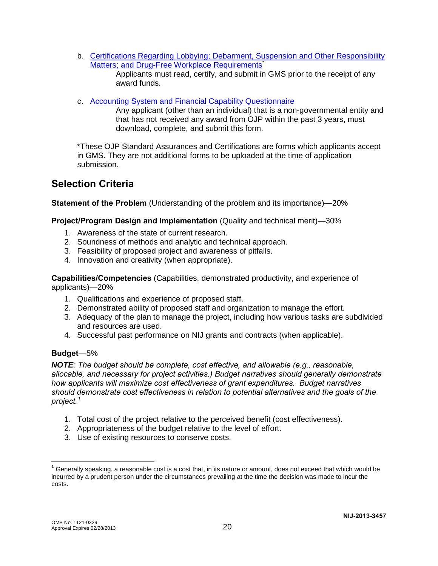- b. [Certifications Regarding Lobbying; Debarment, Suspension and Other Responsibility](http://www.ojp.usdoj.gov/funding/forms/certifications.pdf)  [Matters; and Drug-Free Workplace Requirements](http://www.ojp.usdoj.gov/funding/forms/certifications.pdf)<sup>\*</sup> Applicants must read, certify, and submit in GMS prior to the receipt of any
- c. [Accounting System and Financial Capability Questionnaire](http://www.ojp.usdoj.gov/funding/forms/financial_capability.pdf)

Any applicant (other than an individual) that is a non-governmental entity and that has not received any award from OJP within the past 3 years, must download, complete, and submit this form.

\*These OJP Standard Assurances and Certifications are forms which applicants accept in GMS. They are not additional forms to be uploaded at the time of application submission.

# **Selection Criteria**

**Statement of the Problem** (Understanding of the problem and its importance)*—*20%

### **Project/Program Design and Implementation** (Quality and technical merit)—30%

1. Awareness of the state of current research.

award funds.

- 2. Soundness of methods and analytic and technical approach.
- 3. Feasibility of proposed project and awareness of pitfalls.
- 4. Innovation and creativity (when appropriate).

**Capabilities/Competencies** (Capabilities, demonstrated productivity, and experience of applicants)—20%

- 1. Qualifications and experience of proposed staff.
- 2. Demonstrated ability of proposed staff and organization to manage the effort.
- 3. Adequacy of the plan to manage the project, including how various tasks are subdivided and resources are used.
- 4. Successful past performance on NIJ grants and contracts (when applicable).

#### **Budget**—5%

*NOTE: The budget should be complete, cost effective, and allowable (e.g., reasonable, allocable, and necessary for project activities.) Budget narratives should generally demonstrate how applicants will maximize cost effectiveness of grant expenditures. Budget narratives should demonstrate cost effectiveness in relation to potential alternatives and the goals of the project. [1](#page-20-0)* 

- 1. Total cost of the project relative to the perceived benefit (cost effectiveness).
- 2. Appropriateness of the budget relative to the level of effort.
- 3. Use of existing resources to conserve costs.

 $\overline{\phantom{a}}$ 

<span id="page-20-0"></span><sup>&</sup>lt;sup>1</sup> Generally speaking, a reasonable cost is a cost that, in its nature or amount, does not exceed that which would be incurred by a prudent person under the circumstances prevailing at the time the decision was made to incur the costs.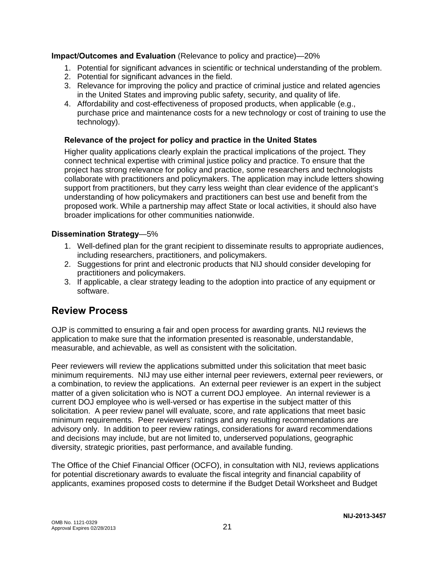**Impact/Outcomes and Evaluation** (Relevance to policy and practice)—20%

- 1. Potential for significant advances in scientific or technical understanding of the problem.
- 2. Potential for significant advances in the field.
- 3. Relevance for improving the policy and practice of criminal justice and related agencies in the United States and improving public safety, security, and quality of life.
- 4. Affordability and cost-effectiveness of proposed products, when applicable (e.g., purchase price and maintenance costs for a new technology or cost of training to use the technology).

## **Relevance of the project for policy and practice in the United States**

Higher quality applications clearly explain the practical implications of the project. They connect technical expertise with criminal justice policy and practice. To ensure that the project has strong relevance for policy and practice, some researchers and technologists collaborate with practitioners and policymakers. The application may include letters showing support from practitioners, but they carry less weight than clear evidence of the applicant's understanding of how policymakers and practitioners can best use and benefit from the proposed work. While a partnership may affect State or local activities, it should also have broader implications for other communities nationwide.

### **Dissemination Strategy**—5%

- 1. Well-defined plan for the grant recipient to disseminate results to appropriate audiences, including researchers, practitioners, and policymakers.
- 2. Suggestions for print and electronic products that NIJ should consider developing for practitioners and policymakers.
- 3. If applicable, a clear strategy leading to the adoption into practice of any equipment or software.

# **Review Process**

OJP is committed to ensuring a fair and open process for awarding grants. NIJ reviews the application to make sure that the information presented is reasonable, understandable, measurable, and achievable, as well as consistent with the solicitation.

Peer reviewers will review the applications submitted under this solicitation that meet basic minimum requirements. NIJ may use either internal peer reviewers, external peer reviewers, or a combination, to review the applications. An external peer reviewer is an expert in the subject matter of a given solicitation who is NOT a current DOJ employee. An internal reviewer is a current DOJ employee who is well-versed or has expertise in the subject matter of this solicitation. A peer review panel will evaluate, score, and rate applications that meet basic minimum requirements. Peer reviewers' ratings and any resulting recommendations are advisory only. In addition to peer review ratings, considerations for award recommendations and decisions may include, but are not limited to, underserved populations, geographic diversity, strategic priorities, past performance, and available funding.

The Office of the Chief Financial Officer (OCFO), in consultation with NIJ, reviews applications for potential discretionary awards to evaluate the fiscal integrity and financial capability of applicants, examines proposed costs to determine if the Budget Detail Worksheet and Budget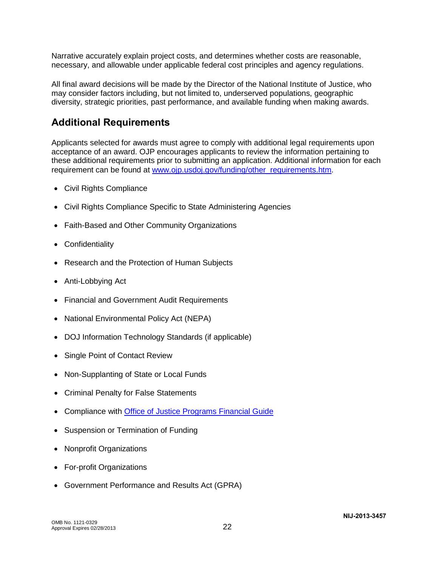Narrative accurately explain project costs, and determines whether costs are reasonable, necessary, and allowable under applicable federal cost principles and agency regulations.

All final award decisions will be made by the Director of the National Institute of Justice, who may consider factors including, but not limited to, underserved populations, geographic diversity, strategic priorities, past performance, and available funding when making awards.

# **Additional Requirements**

Applicants selected for awards must agree to comply with additional legal requirements upon acceptance of an award. OJP encourages applicants to review the information pertaining to these additional requirements prior to submitting an application. Additional information for each requirement can be found at [www.ojp.usdoj.gov/funding/other\\_requirements.htm.](http://www.ojp.usdoj.gov/funding/other_requirements.htm)

- [Civil Rights Compliance](http://www.ojp.usdoj.gov/about/ocr/statutes.htm)
- Civil Rights Compliance Specific to State Administering Agencies
- Faith-Based and Other Community Organizations
- Confidentiality
- Research and the Protection of Human Subjects
- Anti-Lobbying Act
- Financial and Government Audit Requirements
- National Environmental Policy Act (NEPA)
- DOJ Information Technology Standards (if applicable)
- Single Point of Contact Review
- Non-Supplanting of State or Local Funds
- Criminal Penalty for False Statements
- Compliance with [Office of Justice Programs Financial Guide](http://www.ojp.usdoj.gov/financialguide/index.htm)
- Suspension or Termination of Funding
- Nonprofit Organizations
- For-profit Organizations
- Government Performance and Results Act (GPRA)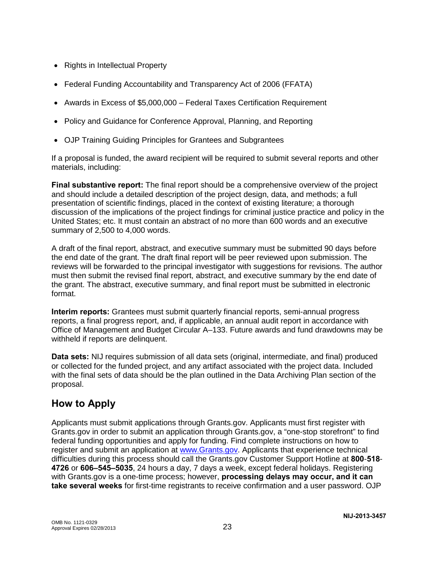- Rights in Intellectual Property
- Federal Funding Accountability and Transparency Act of 2006 (FFATA)
- Awards in Excess of \$5,000,000 Federal Taxes Certification Requirement
- Policy and Guidance for Conference Approval, Planning, and Reporting
- OJP Training Guiding Principles for Grantees and Subgrantees

If a proposal is funded, the award recipient will be required to submit several reports and other materials, including:

**Final substantive report:** The final report should be a comprehensive overview of the project and should include a detailed description of the project design, data, and methods; a full presentation of scientific findings, placed in the context of existing literature; a thorough discussion of the implications of the project findings for criminal justice practice and policy in the United States; etc. It must contain an abstract of no more than 600 words and an executive summary of 2,500 to 4,000 words.

A draft of the final report, abstract, and executive summary must be submitted 90 days before the end date of the grant. The draft final report will be peer reviewed upon submission. The reviews will be forwarded to the principal investigator with suggestions for revisions. The author must then submit the revised final report, abstract, and executive summary by the end date of the grant. The abstract, executive summary, and final report must be submitted in electronic format.

**Interim reports:** Grantees must submit quarterly financial reports, semi-annual progress reports, a final progress report, and, if applicable, an annual audit report in accordance with Office of Management and Budget Circular A–133. Future awards and fund drawdowns may be withheld if reports are delinquent.

**Data sets:** NIJ requires submission of all data sets (original, intermediate, and final) produced or collected for the funded project, and any artifact associated with the project data. Included with the final sets of data should be the plan outlined in the Data Archiving Plan section of the proposal.

# **How to Apply**

Applicants must submit applications through Grants.gov. Applicants must first register with Grants.gov in order to submit an application through Grants.gov, a "one-stop storefront" to find federal funding opportunities and apply for funding. Find complete instructions on how to register and submit an application at [www.Grants.gov.](http://www.grants.gov/) Applicants that experience technical difficulties during this process should call the Grants.gov Customer Support Hotline at **800**-**518**- **4726** or **606–545–5035**, 24 hours a day, 7 days a week, except federal holidays. Registering with Grants.gov is a one-time process; however, **processing delays may occur, and it can take several weeks** for first-time registrants to receive confirmation and a user password. OJP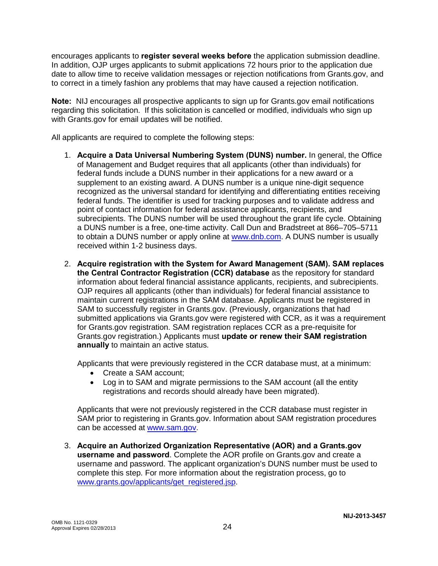encourages applicants to **register several weeks before** the application submission deadline. In addition, OJP urges applicants to submit applications 72 hours prior to the application due date to allow time to receive validation messages or rejection notifications from Grants.gov, and to correct in a timely fashion any problems that may have caused a rejection notification.

**Note:** NIJ encourages all prospective applicants to sign up for Grants.gov email notifications regarding this solicitation. If this solicitation is cancelled or modified, individuals who sign up with Grants.gov for email updates will be notified.

All applicants are required to complete the following steps:

- 1. **Acquire a Data Universal Numbering System (DUNS) number.** In general, the Office of Management and Budget requires that all applicants (other than individuals) for federal funds include a DUNS number in their applications for a new award or a supplement to an existing award. A DUNS number is a unique nine-digit sequence recognized as the universal standard for identifying and differentiating entities receiving federal funds. The identifier is used for tracking purposes and to validate address and point of contact information for federal assistance applicants, recipients, and subrecipients. The DUNS number will be used throughout the grant life cycle. Obtaining a DUNS number is a free, one-time activity. Call Dun and Bradstreet at 866–705–5711 to obtain a DUNS number or apply online at [www.dnb.com.](http://www.dnb.com/) A DUNS number is usually received within 1-2 business days.
- 2. **Acquire registration with the System for Award Management (SAM). SAM replaces the Central Contractor Registration (CCR) database** as the repository for standard information about federal financial assistance applicants, recipients, and subrecipients. OJP requires all applicants (other than individuals) for federal financial assistance to maintain current registrations in the SAM database. Applicants must be registered in SAM to successfully register in Grants.gov. (Previously, organizations that had submitted applications via Grants.gov were registered with CCR, as it was a requirement for Grants.gov registration. SAM registration replaces CCR as a pre-requisite for Grants.gov registration.) Applicants must **update or renew their SAM registration annually** to maintain an active status.

Applicants that were previously registered in the CCR database must, at a minimum:

- Create a SAM account;
- Log in to SAM and migrate permissions to the SAM account (all the entity registrations and records should already have been migrated).

Applicants that were not previously registered in the CCR database must register in SAM prior to registering in Grants.gov. Information about SAM registration procedures can be accessed at [www.sam.gov.](https://www.sam.gov/portal/public/SAM/?portal:componentId=1f834b82-3fed-4eb3-a1f8-ea1f226a7955&portal:type=action&interactionstate=JBPNS_rO0ABXc0ABBfanNmQnJpZGdlVmlld0lkAAAAAQATL2pzZi9uYXZpZ2F0aW9uLmpzcAAHX19FT0ZfXw**)

3. **Acquire an Authorized Organization Representative (AOR) and a Grants.gov username and password**. Complete the AOR profile on Grants.gov and create a username and password. The applicant organization's DUNS number must be used to complete this step. For more information about the registration process, go to [www.grants.gov/applicants/get\\_registered.jsp.](http://www.grants.gov/applicants/get_registered.jsp)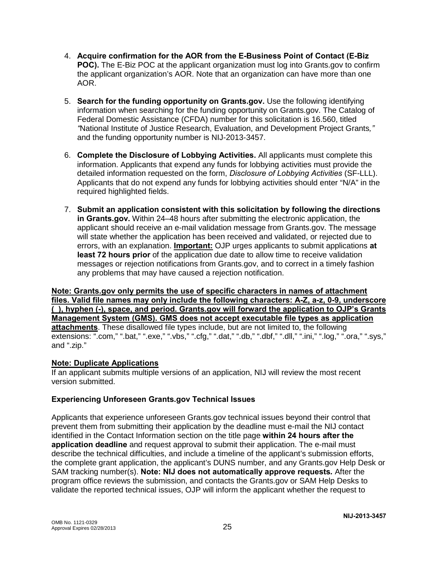- 4. **Acquire confirmation for the AOR from the E-Business Point of Contact (E-Biz POC).** The E-Biz POC at the applicant organization must log into Grants.gov to confirm the applicant organization's AOR. Note that an organization can have more than one AOR.
- 5. **Search for the funding opportunity on Grants.gov.** Use the following identifying information when searching for the funding opportunity on Grants.gov. The Catalog of Federal Domestic Assistance (CFDA) number for this solicitation is 16.560, titled *"*National Institute of Justice Research, Evaluation, and Development Project Grants*,"* and the funding opportunity number is NIJ-2013-3457.
- 6. **Complete the Disclosure of Lobbying Activities.** All applicants must complete this information. Applicants that expend any funds for lobbying activities must provide the detailed information requested on the form, *Disclosure of Lobbying Activities* (SF-LLL). Applicants that do not expend any funds for lobbying activities should enter "N/A" in the required highlighted fields.
- 7. **Submit an application consistent with this solicitation by following the directions in Grants.gov.** Within 24–48 hours after submitting the electronic application, the applicant should receive an e-mail validation message from Grants.gov. The message will state whether the application has been received and validated, or rejected due to errors, with an explanation. **Important:** OJP urges applicants to submit applications **at least 72 hours prior** of the application due date to allow time to receive validation messages or rejection notifications from Grants.gov, and to correct in a timely fashion any problems that may have caused a rejection notification.

**Note: Grants.gov only permits the use of specific characters in names of attachment files. Valid file names may only include the following characters: A-Z, a-z, 0-9, underscore (\_), hyphen (-), space, and period. Grants.gov will forward the application to OJP's Grants Management System (GMS). GMS does not accept executable file types as application attachments**. These disallowed file types include, but are not limited to, the following extensions: ".com," ".bat," ".exe," ".vbs," ".cfg," ".dat," ".db," ".dbf," ".dll," ".ini," ".log," ".ora," ".sys," and ".zip."

### **Note: Duplicate Applications**

If an applicant submits multiple versions of an application, NIJ will review the most recent version submitted.

### **Experiencing Unforeseen Grants.gov Technical Issues**

Applicants that experience unforeseen Grants.gov technical issues beyond their control that prevent them from submitting their application by the deadline must e-mail the NIJ contact identified in the Contact Information section on the title page **within 24 hours after the application deadline** and request approval to submit their application. The e-mail must describe the technical difficulties, and include a timeline of the applicant's submission efforts, the complete grant application, the applicant's DUNS number, and any Grants.gov Help Desk or SAM tracking number(s). **Note: NIJ does not automatically approve requests***.* After the program office reviews the submission, and contacts the Grants.gov or SAM Help Desks to validate the reported technical issues, OJP will inform the applicant whether the request to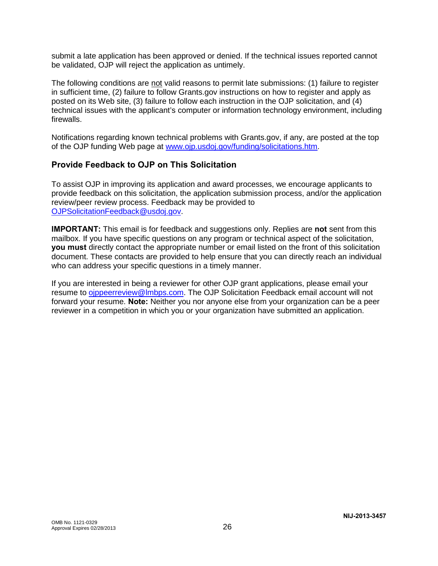submit a late application has been approved or denied. If the technical issues reported cannot be validated, OJP will reject the application as untimely.

The following conditions are not valid reasons to permit late submissions: (1) failure to register in sufficient time, (2) failure to follow Grants.gov instructions on how to register and apply as posted on its Web site, (3) failure to follow each instruction in the OJP solicitation, and (4) technical issues with the applicant's computer or information technology environment, including firewalls.

Notifications regarding known technical problems with Grants.gov, if any, are posted at the top of the OJP funding Web page at [www.ojp.usdoj.gov/funding/solicitations.htm.](http://www.ojp.gov/funding/solicitations.htm)

## **Provide Feedback to OJP on This Solicitation**

To assist OJP in improving its application and award processes, we encourage applicants to provide feedback on this solicitation, the application submission process, and/or the application review/peer review process. Feedback may be provided to [OJPSolicitationFeedback@usdoj.gov.](mailto:OJPSolicitationFeedback@usdoj.gov)

**IMPORTANT:** This email is for feedback and suggestions only. Replies are **not** sent from this mailbox. If you have specific questions on any program or technical aspect of the solicitation, **you must** directly contact the appropriate number or email listed on the front of this solicitation document. These contacts are provided to help ensure that you can directly reach an individual who can address your specific questions in a timely manner.

If you are interested in being a reviewer for other OJP grant applications, please email your resume to [ojppeerreview@lmbps.com.](mailto:ojppeerreview@lmbps.com) The OJP Solicitation Feedback email account will not forward your resume. **Note:** Neither you nor anyone else from your organization can be a peer reviewer in a competition in which you or your organization have submitted an application.